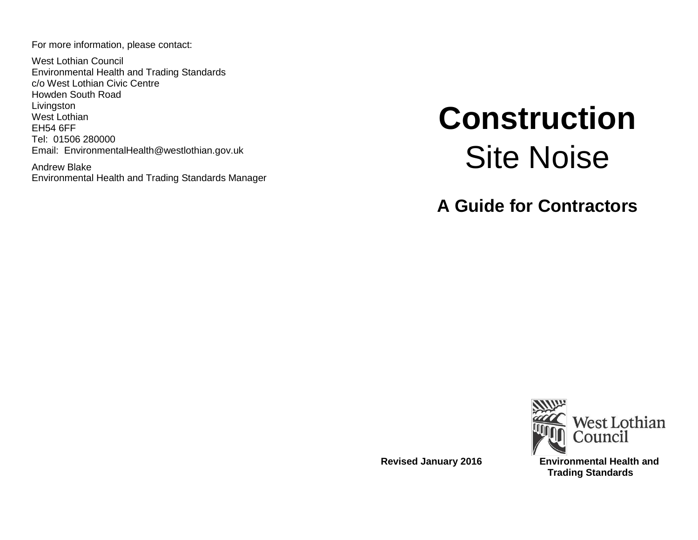For more information, please contact:

West Lothian Council Environmental Health and Trading Standards c/o West Lothian Civic Centre Howden South Road Livingston West Lothian EH54 6FF Tel: 01506 280000 Email: EnvironmentalHealth@westlothian.gov.uk

Andrew Blake Environmental Health and Trading Standards Manager

# **Construction** Site Noise

**A Guide for Contractors**



**Revised January 2016 Environmental Health and Trading Standards**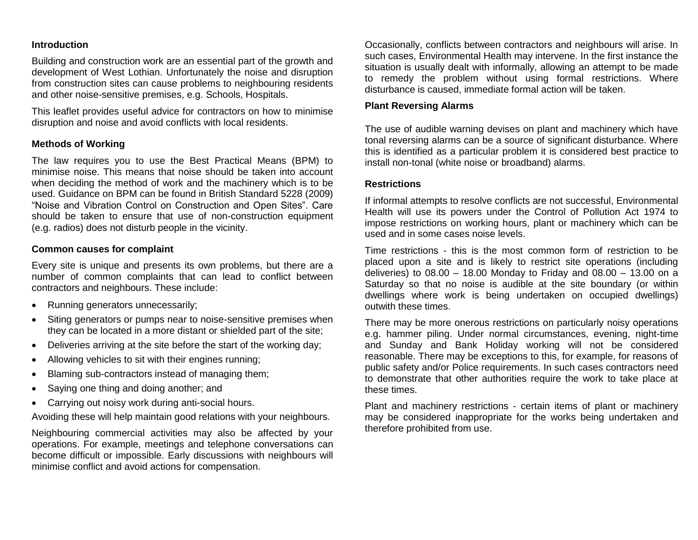## **Introduction**

Building and construction work are an essential part of the growth and development of West Lothian. Unfortunately the noise and disruption from construction sites can cause problems to neighbouring residents and other noise-sensitive premises, e.g. Schools, Hospitals.

This leaflet provides useful advice for contractors on how to minimise disruption and noise and avoid conflicts with local residents.

## **Methods of Working**

The law requires you to use the Best Practical Means (BPM) to minimise noise. This means that noise should be taken into account when deciding the method of work and the machinery which is to be used. Guidance on BPM can be found in British Standard 5228 (2009) "Noise and Vibration Control on Construction and Open Sites". Care should be taken to ensure that use of non-construction equipment (e.g. radios) does not disturb people in the vicinity.

# **Common causes for complaint**

Every site is unique and presents its own problems, but there are a number of common complaints that can lead to conflict between contractors and neighbours. These include:

- Running generators unnecessarily;
- Siting generators or pumps near to noise-sensitive premises when they can be located in a more distant or shielded part of the site;
- Deliveries arriving at the site before the start of the working day;
- Allowing vehicles to sit with their engines running;
- Blaming sub-contractors instead of managing them;
- Saying one thing and doing another; and
- Carrying out noisy work during anti-social hours.

Avoiding these will help maintain good relations with your neighbours.

Neighbouring commercial activities may also be affected by your operations. For example, meetings and telephone conversations can become difficult or impossible. Early discussions with neighbours will minimise conflict and avoid actions for compensation.

Occasionally, conflicts between contractors and neighbours will arise. In such cases, Environmental Health may intervene. In the first instance the situation is usually dealt with informally, allowing an attempt to be made to remedy the problem without using formal restrictions. Where disturbance is caused, immediate formal action will be taken.

#### **Plant Reversing Alarms**

The use of audible warning devises on plant and machinery which have tonal reversing alarms can be a source of significant disturbance. Where this is identified as a particular problem it is considered best practice to install non-tonal (white noise or broadband) alarms.

#### **Restrictions**

If informal attempts to resolve conflicts are not successful, Environmental Health will use its powers under the Control of Pollution Act 1974 to impose restrictions on working hours, plant or machinery which can be used and in some cases noise levels.

Time restrictions - this is the most common form of restriction to be placed upon a site and is likely to restrict site operations (including deliveries) to  $08.00 - 18.00$  Monday to Friday and  $08.00 - 13.00$  on a Saturday so that no noise is audible at the site boundary (or within dwellings where work is being undertaken on occupied dwellings) outwith these times.

There may be more onerous restrictions on particularly noisy operations e.g. hammer piling. Under normal circumstances, evening, night-time and Sunday and Bank Holiday working will not be considered reasonable. There may be exceptions to this, for example, for reasons of public safety and/or Police requirements. In such cases contractors need to demonstrate that other authorities require the work to take place at these times.

Plant and machinery restrictions - certain items of plant or machinery may be considered inappropriate for the works being undertaken and therefore prohibited from use.